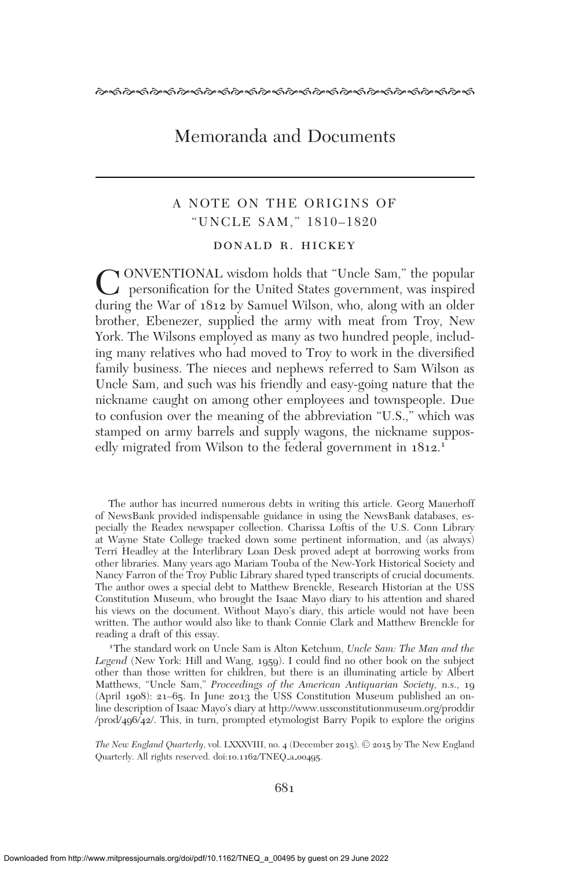# Memoranda and Documents

### A NOTE ON THE ORIGINS OF "UNCLE SAM," 1810–1820

#### donald r. hickey

C ONVENTIONAL wisdom holds that "Uncle Sam," the popular<br>personification for the United States government, was inspired<br>during the Wen of a Sam by Samuel Wilson, who also guith an aldem during the War of 1812 by Samuel Wilson, who, along with an older brother, Ebenezer, supplied the army with meat from Troy, New York. The Wilsons employed as many as two hundred people, including many relatives who had moved to Troy to work in the diversified family business. The nieces and nephews referred to Sam Wilson as Uncle Sam, and such was his friendly and easy-going nature that the nickname caught on among other employees and townspeople. Due to confusion over the meaning of the abbreviation "U.S.," which was stamped on army barrels and supply wagons, the nickname supposedly migrated from Wilson to the federal government in 1812. 1

The author has incurred numerous debts in writing this article. Georg Mauerhoff of NewsBank provided indispensable guidance in using the NewsBank databases, especially the Readex newspaper collection. Charissa Loftis of the U.S. Conn Library at Wayne State College tracked down some pertinent information, and (as always) Terri Headley at the Interlibrary Loan Desk proved adept at borrowing works from other libraries. Many years ago Mariam Touba of the New-York Historical Society and Nancy Farron of the Troy Public Library shared typed transcripts of crucial documents. The author owes a special debt to Matthew Brenckle, Research Historian at the USS Constitution Museum, who brought the Isaac Mayo diary to his attention and shared his views on the document. Without Mayo's diary, this article would not have been written. The author would also like to thank Connie Clark and Matthew Brenckle for reading a draft of this essay.

<sup>1</sup>The standard work on Uncle Sam is Alton Ketchum, *Uncle Sam: The Man and the Legend* (New York: Hill and Wang, 1959). I could find no other book on the subject other than those written for children, but there is an illuminating article by Albert Matthews, "Uncle Sam," *Proceedings of the American Antiquarian Society,* n.s., 19 (April 1908): 21–65. In June 2013 the USS Constitution Museum published an online description of Isaac Mayo's diary at http://www.ussconstitutionmuseum.org/proddir /prod/496/42/. This, in turn, prompted etymologist Barry Popik to explore the origins

*The New England Quarterly,* vol. LXXXVIII, no. 4 (December 2015). © 2015 by The New England Quarterly. All rights reserved. doi:10.1162/TNEQ .a.00495.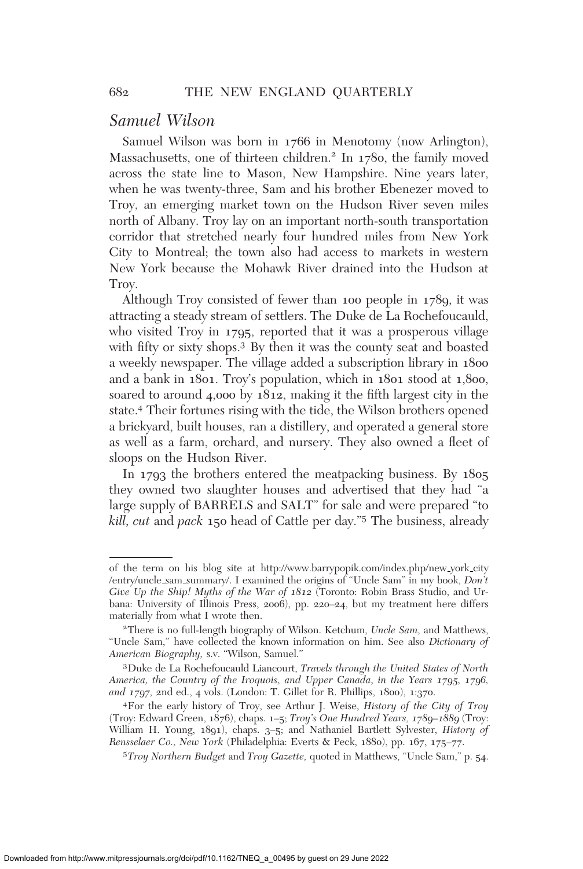#### *Samuel Wilson*

Samuel Wilson was born in 1766 in Menotomy (now Arlington), Massachusetts, one of thirteen children.<sup>2</sup> In 1780, the family moved across the state line to Mason, New Hampshire. Nine years later, when he was twenty-three, Sam and his brother Ebenezer moved to Troy, an emerging market town on the Hudson River seven miles north of Albany. Troy lay on an important north-south transportation corridor that stretched nearly four hundred miles from New York City to Montreal; the town also had access to markets in western New York because the Mohawk River drained into the Hudson at Troy.

Although Troy consisted of fewer than 100 people in 1789, it was attracting a steady stream of settlers. The Duke de La Rochefoucauld, who visited Troy in 1795, reported that it was a prosperous village with fifty or sixty shops.<sup>3</sup> By then it was the county seat and boasted a weekly newspaper. The village added a subscription library in 1800 and a bank in 1801. Troy's population, which in 1801 stood at 1,800, soared to around 4,000 by 1812, making it the fifth largest city in the state.<sup>4</sup> Their fortunes rising with the tide, the Wilson brothers opened a brickyard, built houses, ran a distillery, and operated a general store as well as a farm, orchard, and nursery. They also owned a fleet of sloops on the Hudson River.

In 1793 the brothers entered the meatpacking business. By 1805 they owned two slaughter houses and advertised that they had "a large supply of BARRELS and SALT" for sale and were prepared "to *kill, cut* and *pack* 150 head of Cattle per day."<sup>5</sup> The business, already

<sup>5</sup>*Troy Northern Budget* and *Troy Gazette,* quoted in Matthews, "Uncle Sam," p. 54.

of the term on his blog site at http://www.barrypopik.com/index.php/new york city /entry/uncle sam summary/. I examined the origins of "Uncle Sam" in my book, *Don't Give Up the Ship! Myths of the War of 1812* (Toronto: Robin Brass Studio, and Urbana: University of Illinois Press, 2006), pp. 220–24, but my treatment here differs materially from what I wrote then.

<sup>2</sup>There is no full-length biography of Wilson. Ketchum, *Uncle Sam,* and Matthews, "Uncle Sam," have collected the known information on him. See also *Dictionary of American Biography,* s.v. "Wilson, Samuel."

<sup>3</sup>Duke de La Rochefoucauld Liancourt, *Travels through the United States of North America, the Country of the Iroquois, and Upper Canada, in the Years 1795, 1796, and 1797,* 2nd ed., 4 vols. (London: T. Gillet for R. Phillips, 1800), 1:370.

<sup>4</sup>For the early history of Troy, see Arthur J. Weise, *History of the City of Troy* (Troy: Edward Green, 1876), chaps. 1–5; *Troy's One Hundred Years, 1789–1889* (Troy: William H. Young, 1891), chaps. 3–5; and Nathaniel Bartlett Sylvester, *History of Rensselaer Co., New York* (Philadelphia: Everts & Peck, 1880), pp. 167, 175–77.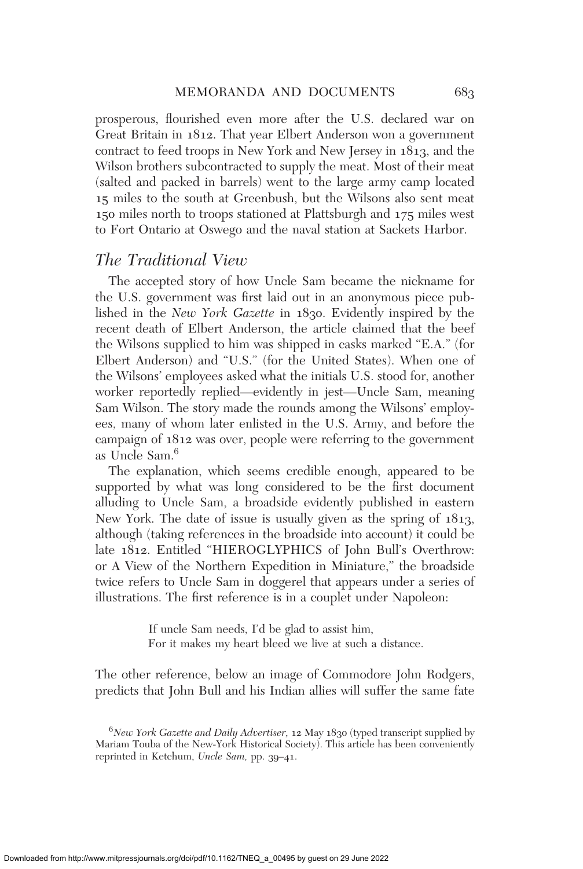prosperous, flourished even more after the U.S. declared war on Great Britain in 1812. That year Elbert Anderson won a government contract to feed troops in New York and New Jersey in 1813, and the Wilson brothers subcontracted to supply the meat. Most of their meat (salted and packed in barrels) went to the large army camp located 15 miles to the south at Greenbush, but the Wilsons also sent meat 150 miles north to troops stationed at Plattsburgh and 175 miles west to Fort Ontario at Oswego and the naval station at Sackets Harbor.

### *The Traditional View*

The accepted story of how Uncle Sam became the nickname for the U.S. government was first laid out in an anonymous piece published in the *New York Gazette* in 1830. Evidently inspired by the recent death of Elbert Anderson, the article claimed that the beef the Wilsons supplied to him was shipped in casks marked "E.A." (for Elbert Anderson) and "U.S." (for the United States). When one of the Wilsons' employees asked what the initials U.S. stood for, another worker reportedly replied—evidently in jest—Uncle Sam, meaning Sam Wilson. The story made the rounds among the Wilsons' employees, many of whom later enlisted in the U.S. Army, and before the campaign of 1812 was over, people were referring to the government as Uncle Sam.<sup>6</sup>

The explanation, which seems credible enough, appeared to be supported by what was long considered to be the first document alluding to Uncle Sam, a broadside evidently published in eastern New York. The date of issue is usually given as the spring of 1813, although (taking references in the broadside into account) it could be late 1812. Entitled "HIEROGLYPHICS of John Bull's Overthrow: or A View of the Northern Expedition in Miniature," the broadside twice refers to Uncle Sam in doggerel that appears under a series of illustrations. The first reference is in a couplet under Napoleon:

> If uncle Sam needs, I'd be glad to assist him, For it makes my heart bleed we live at such a distance.

The other reference, below an image of Commodore John Rodgers, predicts that John Bull and his Indian allies will suffer the same fate

<sup>6</sup>*New York Gazette and Daily Advertiser,* 12 May 1830 (typed transcript supplied by Mariam Touba of the New-York Historical Society). This article has been conveniently reprinted in Ketchum, *Uncle Sam,* pp. 39–41.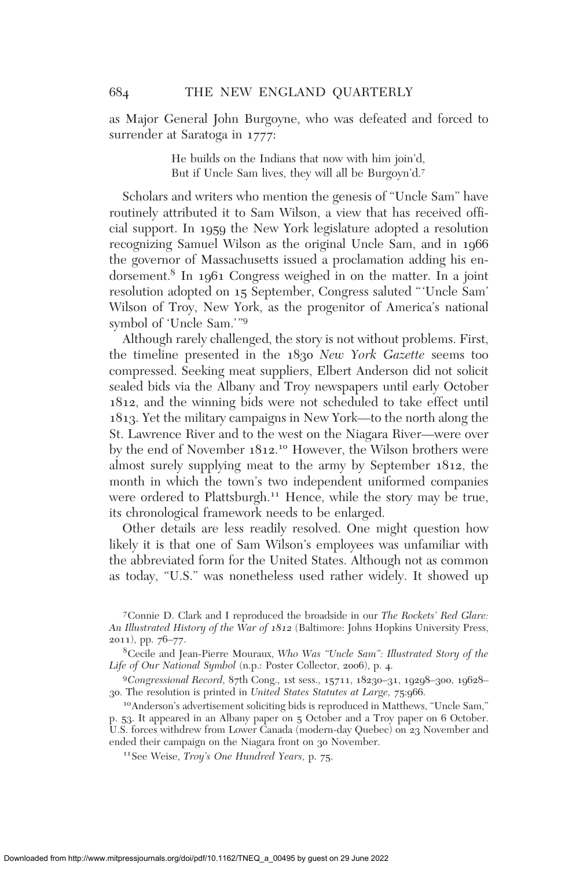as Major General John Burgoyne, who was defeated and forced to surrender at Saratoga in 1777:

> He builds on the Indians that now with him join'd, But if Uncle Sam lives, they will all be Burgoyn'd.<sup>7</sup>

Scholars and writers who mention the genesis of "Uncle Sam" have routinely attributed it to Sam Wilson, a view that has received official support. In 1959 the New York legislature adopted a resolution recognizing Samuel Wilson as the original Uncle Sam, and in 1966 the governor of Massachusetts issued a proclamation adding his endorsement.<sup>8</sup> In 1961 Congress weighed in on the matter. In a joint resolution adopted on 15 September, Congress saluted "'Uncle Sam' Wilson of Troy, New York, as the progenitor of America's national symbol of 'Uncle Sam.'"9

Although rarely challenged, the story is not without problems. First, the timeline presented in the 1830 *New York Gazette* seems too compressed. Seeking meat suppliers, Elbert Anderson did not solicit sealed bids via the Albany and Troy newspapers until early October 1812, and the winning bids were not scheduled to take effect until 1813. Yet the military campaigns in New York—to the north along the St. Lawrence River and to the west on the Niagara River—were over by the end of November 1812. <sup>10</sup> However, the Wilson brothers were almost surely supplying meat to the army by September 1812, the month in which the town's two independent uniformed companies were ordered to Plattsburgh.<sup>11</sup> Hence, while the story may be true, its chronological framework needs to be enlarged.

Other details are less readily resolved. One might question how likely it is that one of Sam Wilson's employees was unfamiliar with the abbreviated form for the United States. Although not as common as today, "U.S." was nonetheless used rather widely. It showed up

<sup>8</sup>Cecile and Jean-Pierre Mouraux, *Who Was "Uncle Sam": Illustrated Story of the Life of Our National Symbol* (n.p.: Poster Collector, 2006), p. 4.

<sup>9</sup>*Congressional Record,* 87th Cong., 1st sess., 15711, 18230–31, 19298–300, 19628– 30. The resolution is printed in *United States Statutes at Large,* 75:966.

<sup>10</sup>Anderson's advertisement soliciting bids is reproduced in Matthews, "Uncle Sam," p. 53. It appeared in an Albany paper on 5 October and a Troy paper on 6 October. U.S. forces withdrew from Lower Canada (modern-day Quebec) on 23 November and ended their campaign on the Niagara front on 30 November.

<sup>11</sup>See Weise, *Troy's One Hundred Years,* p. 75.

<sup>7</sup>Connie D. Clark and I reproduced the broadside in our *The Rockets' Red Glare: An Illustrated History of the War of 1812* (Baltimore: Johns Hopkins University Press, 2011), pp. 76–77.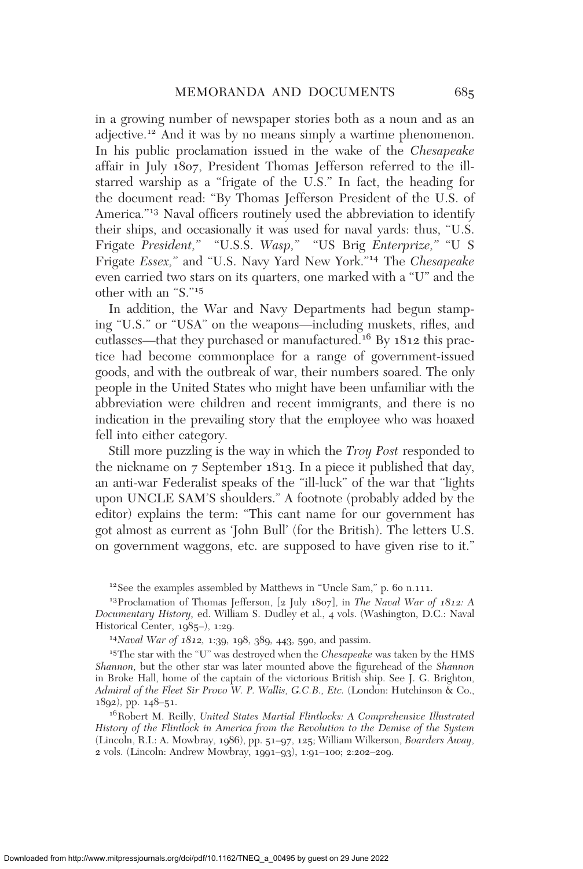in a growing number of newspaper stories both as a noun and as an adjective.<sup>12</sup> And it was by no means simply a wartime phenomenon. In his public proclamation issued in the wake of the *Chesapeake* affair in July 1807, President Thomas Jefferson referred to the illstarred warship as a "frigate of the U.S." In fact, the heading for the document read: "By Thomas Jefferson President of the U.S. of America."<sup>13</sup> Naval officers routinely used the abbreviation to identify their ships, and occasionally it was used for naval yards: thus, "U.S. Frigate *President,"* "U.S.S. *Wasp,"* "US Brig *Enterprize,"* "U S Frigate *Essex,"* and "U.S. Navy Yard New York."<sup>14</sup> The *Chesapeake* even carried two stars on its quarters, one marked with a "U" and the other with an "S."<sup>15</sup>

In addition, the War and Navy Departments had begun stamping "U.S." or "USA" on the weapons—including muskets, rifles, and cutlasses—that they purchased or manufactured.<sup>16</sup> By  $1812$  this practice had become commonplace for a range of government-issued goods, and with the outbreak of war, their numbers soared. The only people in the United States who might have been unfamiliar with the abbreviation were children and recent immigrants, and there is no indication in the prevailing story that the employee who was hoaxed fell into either category.

Still more puzzling is the way in which the *Troy Post* responded to the nickname on 7 September 1813. In a piece it published that day, an anti-war Federalist speaks of the "ill-luck" of the war that "lights upon UNCLE SAM'S shoulders." A footnote (probably added by the editor) explains the term: "This cant name for our government has got almost as current as 'John Bull' (for the British). The letters U.S. on government waggons, etc. are supposed to have given rise to it."

<sup>12</sup>See the examples assembled by Matthews in "Uncle Sam," p. 60 n.111.

<sup>13</sup>Proclamation of Thomas Jefferson, [2 July 1807], in *The Naval War of 1812: A Documentary History,* ed. William S. Dudley et al., 4 vols. (Washington, D.C.: Naval Historical Center, 1985–), 1:29.

<sup>14</sup>*Naval War of 1812,* 1:39, 198, 389, 443, 590, and passim.

<sup>15</sup>The star with the "U" was destroyed when the *Chesapeake* was taken by the HMS *Shannon,* but the other star was later mounted above the figurehead of the *Shannon* in Broke Hall, home of the captain of the victorious British ship. See J. G. Brighton, *Admiral of the Fleet Sir Provo W. P. Wallis, G.C.B., Etc.* (London: Hutchinson & Co., 1892), pp. 148–51.

<sup>16</sup>Robert M. Reilly, *United States Martial Flintlocks: A Comprehensive Illustrated History of the Flintlock in America from the Revolution to the Demise of the System* (Lincoln, R.I.: A. Mowbray, 1986), pp. 51–97, 125; William Wilkerson, *Boarders Away,* 2 vols. (Lincoln: Andrew Mowbray, 1991–93), 1:91–100; 2:202–209.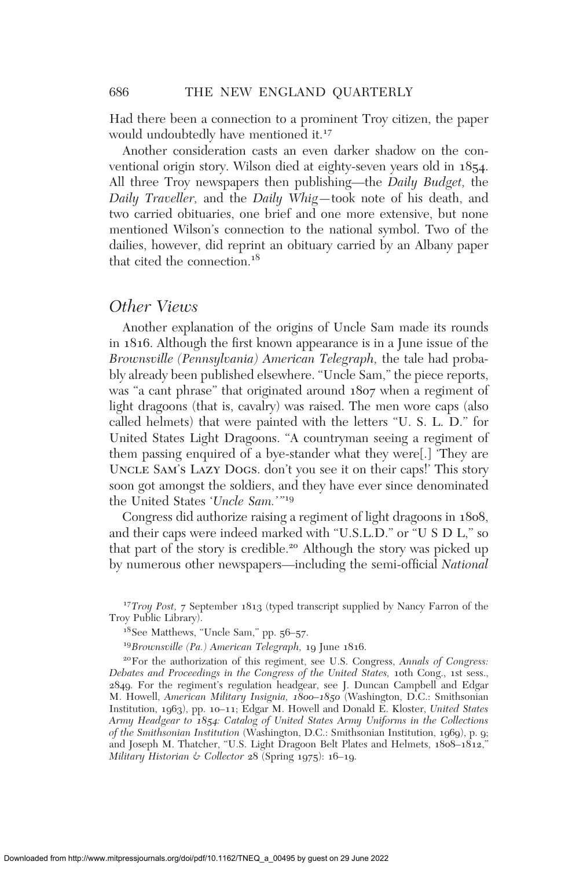Had there been a connection to a prominent Troy citizen, the paper would undoubtedly have mentioned it.<sup>17</sup>

Another consideration casts an even darker shadow on the conventional origin story. Wilson died at eighty-seven years old in 1854. All three Troy newspapers then publishing—the *Daily Budget,* the *Daily Traveller,* and the *Daily Whig—*took note of his death, and two carried obituaries, one brief and one more extensive, but none mentioned Wilson's connection to the national symbol. Two of the dailies, however, did reprint an obituary carried by an Albany paper that cited the connection.<sup>18</sup>

#### *Other Views*

Another explanation of the origins of Uncle Sam made its rounds in 1816. Although the first known appearance is in a June issue of the *Brownsville (Pennsylvania) American Telegraph,* the tale had probably already been published elsewhere. "Uncle Sam," the piece reports, was "a cant phrase" that originated around 1807 when a regiment of light dragoons (that is, cavalry) was raised. The men wore caps (also called helmets) that were painted with the letters "U. S. L. D." for United States Light Dragoons. "A countryman seeing a regiment of them passing enquired of a bye-stander what they were[.] 'They are Uncle Sam's Lazy Dogs. don't you see it on their caps!' This story soon got amongst the soldiers, and they have ever since denominated the United States '*Uncle Sam.'"*<sup>19</sup>

Congress did authorize raising a regiment of light dragoons in 1808, and their caps were indeed marked with "U.S.L.D." or "U S D L," so that part of the story is credible.<sup>20</sup> Although the story was picked up by numerous other newspapers—including the semi-official *National*

<sup>17</sup>*Troy Post,* 7 September 1813 (typed transcript supplied by Nancy Farron of the Troy Public Library).

<sup>18</sup>See Matthews, "Uncle Sam," pp. 56–57.

<sup>19</sup>*Brownsville (Pa.) American Telegraph,* 19 June 1816.

<sup>20</sup>For the authorization of this regiment, see U.S. Congress, *Annals of Congress: Debates and Proceedings in the Congress of the United States,* 10th Cong., 1st sess., 2849. For the regiment's regulation headgear, see J. Duncan Campbell and Edgar M. Howell, *American Military Insignia, 1800–1850* (Washington, D.C.: Smithsonian Institution, 1963), pp. 10–11; Edgar M. Howell and Donald E. Kloster, *United States Army Headgear to 1854: Catalog of United States Army Uniforms in the Collections of the Smithsonian Institution* (Washington, D.C.: Smithsonian Institution, 1969), p. 9; and Joseph M. Thatcher, "U.S. Light Dragoon Belt Plates and Helmets, 1808–1812," *Military Historian & Collector* 28 (Spring 1975): 16–19.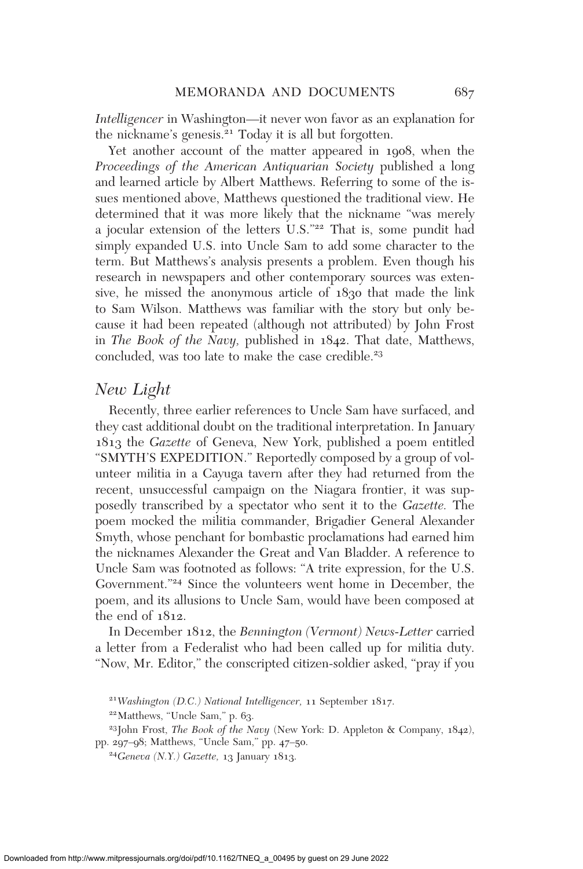*Intelligencer* in Washington—it never won favor as an explanation for the nickname's genesis.<sup>21</sup> Today it is all but forgotten.

Yet another account of the matter appeared in 1908, when the *Proceedings of the American Antiquarian Society* published a long and learned article by Albert Matthews. Referring to some of the issues mentioned above, Matthews questioned the traditional view. He determined that it was more likely that the nickname "was merely a jocular extension of the letters U.S."<sup>22</sup> That is, some pundit had simply expanded U.S. into Uncle Sam to add some character to the term. But Matthews's analysis presents a problem. Even though his research in newspapers and other contemporary sources was extensive, he missed the anonymous article of 1830 that made the link to Sam Wilson. Matthews was familiar with the story but only because it had been repeated (although not attributed) by John Frost in *The Book of the Navy,* published in 1842. That date, Matthews, concluded, was too late to make the case credible.<sup>23</sup>

### *New Light*

Recently, three earlier references to Uncle Sam have surfaced, and they cast additional doubt on the traditional interpretation. In January 1813 the *Gazette* of Geneva, New York, published a poem entitled "SMYTH'S EXPEDITION." Reportedly composed by a group of volunteer militia in a Cayuga tavern after they had returned from the recent, unsuccessful campaign on the Niagara frontier, it was supposedly transcribed by a spectator who sent it to the *Gazette.* The poem mocked the militia commander, Brigadier General Alexander Smyth, whose penchant for bombastic proclamations had earned him the nicknames Alexander the Great and Van Bladder. A reference to Uncle Sam was footnoted as follows: "A trite expression, for the U.S. Government."<sup>24</sup> Since the volunteers went home in December, the poem, and its allusions to Uncle Sam, would have been composed at the end of 1812.

In December 1812, the *Bennington (Vermont) News-Letter* carried a letter from a Federalist who had been called up for militia duty. "Now, Mr. Editor," the conscripted citizen-soldier asked, "pray if you

<sup>21</sup>*Washington (D.C.) National Intelligencer,* 11 September 1817.

<sup>22</sup>Matthews, "Uncle Sam," p. 63.

<sup>23</sup>John Frost, *The Book of the Navy* (New York: D. Appleton & Company, 1842), pp. 297–98; Matthews, "Uncle Sam," pp. 47–50.

<sup>24</sup>*Geneva (N.Y.) Gazette,* 13 January 1813.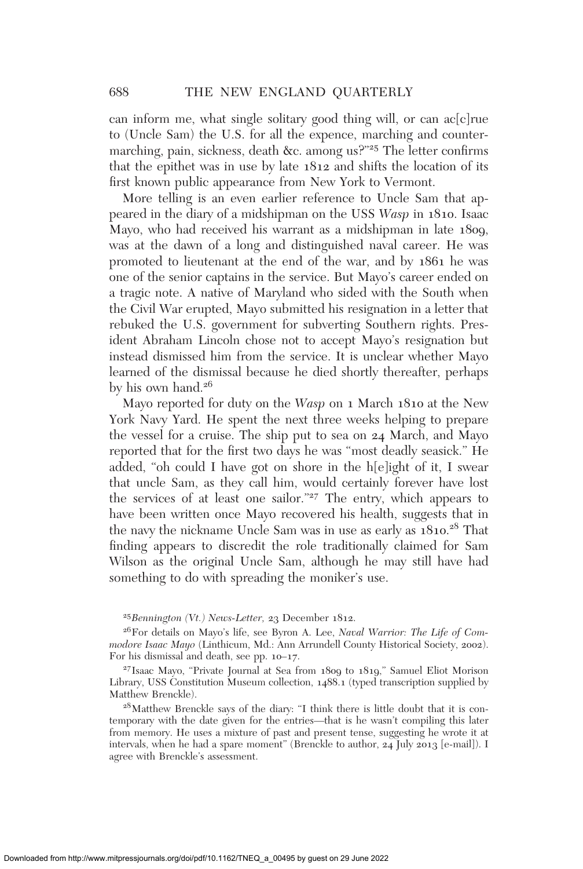can inform me, what single solitary good thing will, or can ac[c]rue to (Uncle Sam) the U.S. for all the expence, marching and countermarching, pain, sickness, death &c. among us?"<sup>25</sup> The letter confirms that the epithet was in use by late 1812 and shifts the location of its first known public appearance from New York to Vermont.

More telling is an even earlier reference to Uncle Sam that appeared in the diary of a midshipman on the USS *Wasp* in 1810. Isaac Mayo, who had received his warrant as a midshipman in late 1809, was at the dawn of a long and distinguished naval career. He was promoted to lieutenant at the end of the war, and by 1861 he was one of the senior captains in the service. But Mayo's career ended on a tragic note. A native of Maryland who sided with the South when the Civil War erupted, Mayo submitted his resignation in a letter that rebuked the U.S. government for subverting Southern rights. President Abraham Lincoln chose not to accept Mayo's resignation but instead dismissed him from the service. It is unclear whether Mayo learned of the dismissal because he died shortly thereafter, perhaps by his own hand.<sup>26</sup>

Mayo reported for duty on the *Wasp* on 1 March 1810 at the New York Navy Yard. He spent the next three weeks helping to prepare the vessel for a cruise. The ship put to sea on 24 March, and Mayo reported that for the first two days he was "most deadly seasick." He added, "oh could I have got on shore in the h[e]ight of it, I swear that uncle Sam, as they call him, would certainly forever have lost the services of at least one sailor."<sup>27</sup> The entry, which appears to have been written once Mayo recovered his health, suggests that in the navy the nickname Uncle Sam was in use as early as 1810. <sup>28</sup> That finding appears to discredit the role traditionally claimed for Sam Wilson as the original Uncle Sam, although he may still have had something to do with spreading the moniker's use.

<sup>25</sup>*Bennington (Vt.) News-Letter,* 23 December 1812.

<sup>26</sup>For details on Mayo's life, see Byron A. Lee, *Naval Warrior: The Life of Commodore Isaac Mayo* (Linthicum, Md.: Ann Arrundell County Historical Society, 2002). For his dismissal and death, see pp. 10–17.

<sup>27</sup>Isaac Mayo, "Private Journal at Sea from 1809 to 1819," Samuel Eliot Morison Library, USS Constitution Museum collection, 1488.1 (typed transcription supplied by Matthew Brenckle).

<sup>28</sup>Matthew Brenckle says of the diary: "I think there is little doubt that it is contemporary with the date given for the entries—that is he wasn't compiling this later from memory. He uses a mixture of past and present tense, suggesting he wrote it at intervals, when he had a spare moment" (Brenckle to author, 24 July 2013 [e-mail]). I agree with Brenckle's assessment.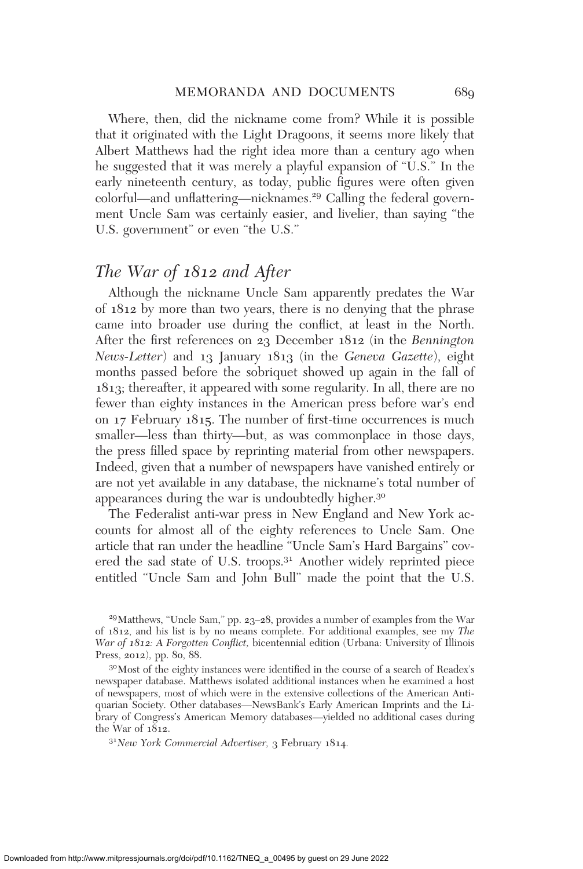Where, then, did the nickname come from? While it is possible that it originated with the Light Dragoons, it seems more likely that Albert Matthews had the right idea more than a century ago when he suggested that it was merely a playful expansion of "U.S." In the early nineteenth century, as today, public figures were often given colorful—and unflattering—nicknames.<sup>29</sup> Calling the federal government Uncle Sam was certainly easier, and livelier, than saying "the U.S. government" or even "the U.S."

## *The War of 1812 and After*

Although the nickname Uncle Sam apparently predates the War of 1812 by more than two years, there is no denying that the phrase came into broader use during the conflict, at least in the North. After the first references on 23 December 1812 (in the *Bennington News-Letter*) and 13 January 1813 (in the *Geneva Gazette*), eight months passed before the sobriquet showed up again in the fall of 1813; thereafter, it appeared with some regularity. In all, there are no fewer than eighty instances in the American press before war's end on 17 February 1815. The number of first-time occurrences is much smaller—less than thirty—but, as was commonplace in those days, the press filled space by reprinting material from other newspapers. Indeed, given that a number of newspapers have vanished entirely or are not yet available in any database, the nickname's total number of appearances during the war is undoubtedly higher.<sup>30</sup>

The Federalist anti-war press in New England and New York accounts for almost all of the eighty references to Uncle Sam. One article that ran under the headline "Uncle Sam's Hard Bargains" covered the sad state of U.S. troops.<sup>31</sup> Another widely reprinted piece entitled "Uncle Sam and John Bull" made the point that the U.S.

<sup>31</sup>*New York Commercial Advertiser,* 3 February 1814.

<sup>29</sup>Matthews, "Uncle Sam," pp. 23–28, provides a number of examples from the War of 1812, and his list is by no means complete. For additional examples, see my *The War of 1812: A Forgotten Conflict,* bicentennial edition (Urbana: University of Illinois Press, 2012), pp. 80, 88.

<sup>30</sup>Most of the eighty instances were identified in the course of a search of Readex's newspaper database. Matthews isolated additional instances when he examined a host of newspapers, most of which were in the extensive collections of the American Antiquarian Society. Other databases—NewsBank's Early American Imprints and the Library of Congress's American Memory databases—yielded no additional cases during the War of 1812.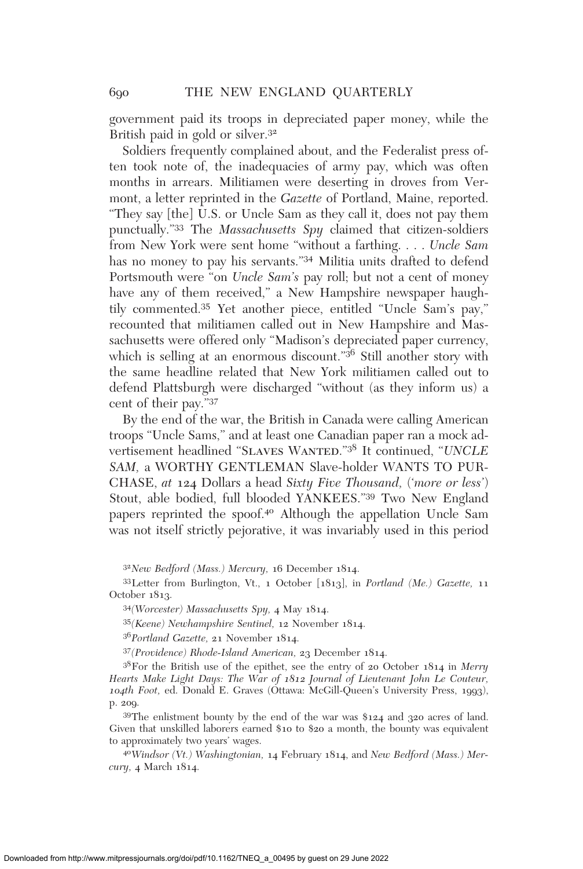government paid its troops in depreciated paper money, while the British paid in gold or silver.<sup>32</sup>

Soldiers frequently complained about, and the Federalist press often took note of, the inadequacies of army pay, which was often months in arrears. Militiamen were deserting in droves from Vermont, a letter reprinted in the *Gazette* of Portland, Maine, reported. "They say [the] U.S. or Uncle Sam as they call it, does not pay them punctually."<sup>33</sup> The *Massachusetts Spy* claimed that citizen-soldiers from New York were sent home "without a farthing. . . . *Uncle Sam* has no money to pay his servants."<sup>34</sup> Militia units drafted to defend Portsmouth were "on *Uncle Sam's* pay roll; but not a cent of money have any of them received," a New Hampshire newspaper haughtily commented.<sup>35</sup> Yet another piece, entitled "Uncle Sam's pay," recounted that militiamen called out in New Hampshire and Massachusetts were offered only "Madison's depreciated paper currency, which is selling at an enormous discount."<sup>36</sup> Still another story with the same headline related that New York militiamen called out to defend Plattsburgh were discharged "without (as they inform us) a cent of their pay."<sup>37</sup>

By the end of the war, the British in Canada were calling American troops "Uncle Sams," and at least one Canadian paper ran a mock advertisement headlined "Slaves Wanted."<sup>38</sup> It continued, "*UNCLE SAM,* a WORTHY GENTLEMAN Slave-holder WANTS TO PUR-CHASE, *at* 124 Dollars a head *Sixty Five Thousand,* ('*more or less'*) Stout, able bodied, full blooded YANKEES."<sup>39</sup> Two New England papers reprinted the spoof.<sup>40</sup> Although the appellation Uncle Sam was not itself strictly pejorative, it was invariably used in this period

<sup>32</sup>*New Bedford (Mass.) Mercury,* 16 December 1814.

<sup>33</sup>Letter from Burlington, Vt., 1 October [1813], in *Portland (Me.) Gazette,* 11 October 1813.

<sup>34</sup>*(Worcester) Massachusetts Spy,* 4 May 1814.

<sup>35</sup>*(Keene) Newhampshire Sentinel,* 12 November 1814.

<sup>36</sup>*Portland Gazette,* 21 November 1814.

<sup>37</sup>*(Providence) Rhode-Island American,* 23 December 1814.

<sup>38</sup>For the British use of the epithet, see the entry of 20 October 1814 in *Merry Hearts Make Light Days: The War of 1812 Journal of Lieutenant John Le Couteur, 104th Foot,* ed. Donald E. Graves (Ottawa: McGill-Queen's University Press, 1993), p. 209.

<sup>39</sup>The enlistment bounty by the end of the war was \$124 and 320 acres of land. Given that unskilled laborers earned \$10 to \$20 a month, the bounty was equivalent to approximately two years' wages.

<sup>40</sup>*Windsor (Vt.) Washingtonian,* 14 February 1814, and *New Bedford (Mass.) Mercury,* 4 March 1814.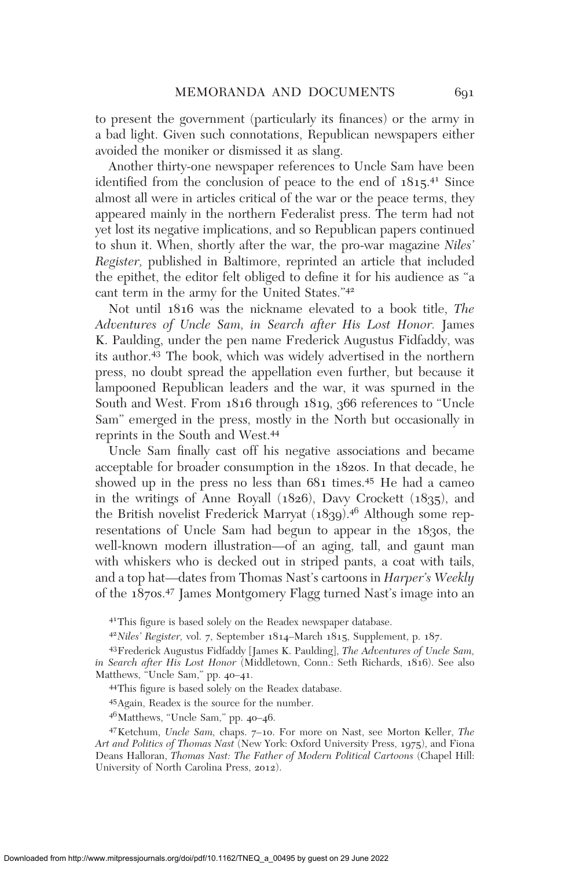to present the government (particularly its finances) or the army in a bad light. Given such connotations, Republican newspapers either avoided the moniker or dismissed it as slang.

Another thirty-one newspaper references to Uncle Sam have been identified from the conclusion of peace to the end of 1815. <sup>41</sup> Since almost all were in articles critical of the war or the peace terms, they appeared mainly in the northern Federalist press. The term had not yet lost its negative implications, and so Republican papers continued to shun it. When, shortly after the war, the pro-war magazine *Niles' Register,* published in Baltimore, reprinted an article that included the epithet, the editor felt obliged to define it for his audience as "a cant term in the army for the United States."<sup>42</sup>

Not until 1816 was the nickname elevated to a book title, *The Adventures of Uncle Sam, in Search after His Lost Honor.* James K. Paulding, under the pen name Frederick Augustus Fidfaddy, was its author.<sup>43</sup> The book, which was widely advertised in the northern press, no doubt spread the appellation even further, but because it lampooned Republican leaders and the war, it was spurned in the South and West. From 1816 through 1819, 366 references to "Uncle Sam" emerged in the press, mostly in the North but occasionally in reprints in the South and West.<sup>44</sup>

Uncle Sam finally cast off his negative associations and became acceptable for broader consumption in the 1820s. In that decade, he showed up in the press no less than 681 times.<sup>45</sup> He had a cameo in the writings of Anne Royall (1826), Davy Crockett (1835), and the British novelist Frederick Marryat (1839).<sup>46</sup> Although some representations of Uncle Sam had begun to appear in the 1830s, the well-known modern illustration—of an aging, tall, and gaunt man with whiskers who is decked out in striped pants, a coat with tails, and a top hat—dates from Thomas Nast's cartoons in *Harper's Weekly* of the 1870s.<sup>47</sup> James Montgomery Flagg turned Nast's image into an

<sup>41</sup>This figure is based solely on the Readex newspaper database.

<sup>42</sup>*Niles' Register,* vol. 7, September 1814–March 1815, Supplement, p. 187.

<sup>43</sup>Frederick Augustus Fidfaddy [James K. Paulding], *The Adventures of Uncle Sam, in Search after His Lost Honor* (Middletown, Conn.: Seth Richards, 1816). See also Matthews, "Uncle Sam," pp. 40–41.

<sup>44</sup>This figure is based solely on the Readex database.

<sup>45</sup>Again, Readex is the source for the number.

 $46$ Matthews, "Uncle Sam," pp.  $40-46$ .

<sup>47</sup>Ketchum, *Uncle Sam,* chaps. 7–10. For more on Nast, see Morton Keller, *The Art and Politics of Thomas Nast* (New York: Oxford University Press, 1975), and Fiona Deans Halloran, *Thomas Nast: The Father of Modern Political Cartoons* (Chapel Hill: University of North Carolina Press, 2012).